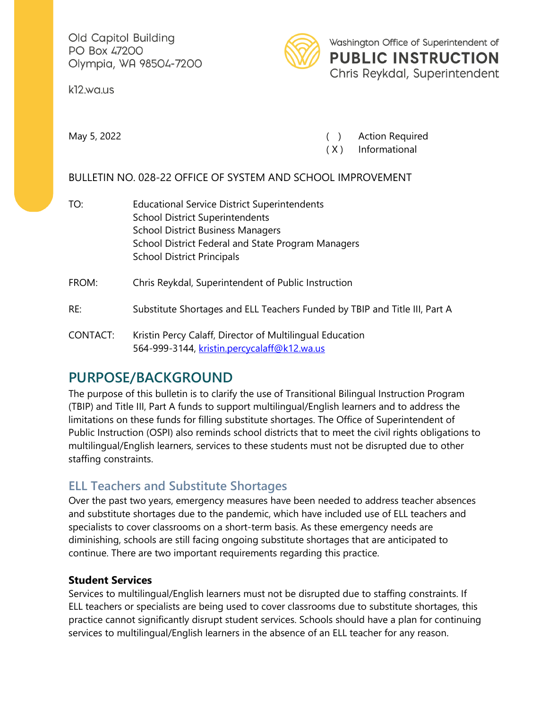Old Capitol Building PO Box 47200 Olympia, WA 98504-7200

k12.wa.us



Washington Office of Superintendent of **PUBLIC INSTRUCTION** Chris Reykdal, Superintendent

May 5, 2022 **(a)** May 5, 2022 **(b)** Action Required

( X ) Informational

### BULLETIN NO. 028-22 OFFICE OF SYSTEM AND SCHOOL IMPROVEMENT

- TO: Educational Service District Superintendents School District Superintendents School District Business Managers School District Federal and State Program Managers School District Principals FROM: Chris Reykdal, Superintendent of Public Instruction
- RE: Substitute Shortages and ELL Teachers Funded by TBIP and Title III, Part A
- CONTACT: Kristin Percy Calaff, Director of Multilingual Education 564-999-3144, [kristin.percycalaff@k12.wa.us](mailto:kristin.percycalaff@k12.wa.us)

# **PURPOSE/BACKGROUND**

The purpose of this bulletin is to clarify the use of Transitional Bilingual Instruction Program (TBIP) and Title III, Part A funds to support multilingual/English learners and to address the limitations on these funds for filling substitute shortages. The Office of Superintendent of Public Instruction (OSPI) also reminds school districts that to meet the civil rights obligations to multilingual/English learners, services to these students must not be disrupted due to other staffing constraints.

## **ELL Teachers and Substitute Shortages**

Over the past two years, emergency measures have been needed to address teacher absences and substitute shortages due to the pandemic, which have included use of ELL teachers and specialists to cover classrooms on a short-term basis. As these emergency needs are diminishing, schools are still facing ongoing substitute shortages that are anticipated to continue. There are two important requirements regarding this practice.

#### **Student Services**

Services to multilingual/English learners must not be disrupted due to staffing constraints. If ELL teachers or specialists are being used to cover classrooms due to substitute shortages, this practice cannot significantly disrupt student services. Schools should have a plan for continuing services to multilingual/English learners in the absence of an ELL teacher for any reason.